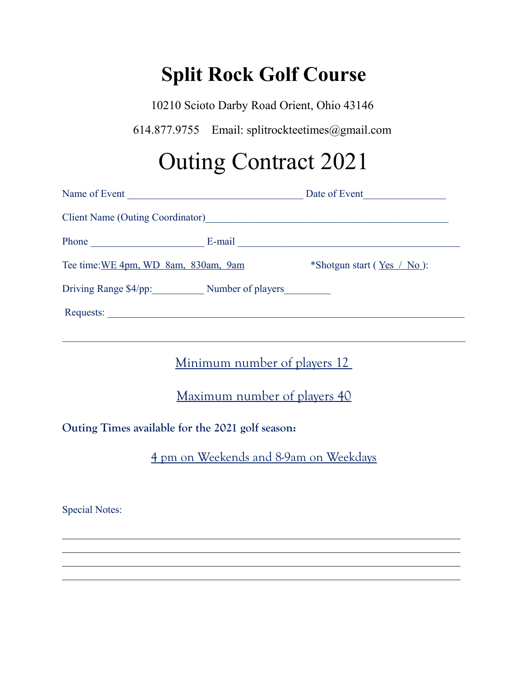## **Split Rock Golf Course**

10210 Scioto Darby Road Orient, Ohio 43146

614.877.9755 Email: splitrockteetimes@gmail.com

## Outing Contract 2021

| Client Name (Outing Coordinator)<br><u>Lient Name</u> (Outing Coordinator) |                              |                                |  |  |
|----------------------------------------------------------------------------|------------------------------|--------------------------------|--|--|
|                                                                            |                              |                                |  |  |
| Tee time: WE 4pm, WD 8am, 830am, 9am                                       |                              | *Shotgun start ( $Yes / No$ ): |  |  |
| Driving Range \$4/pp: Number of players                                    |                              |                                |  |  |
|                                                                            |                              |                                |  |  |
|                                                                            |                              |                                |  |  |
| Minimum number of players 12                                               |                              |                                |  |  |
|                                                                            | Maximum number of players 40 |                                |  |  |

**Outing Times available for the 2021 golf season:**

4 pm on Weekends and 8-9am on Weekdays

Special Notes: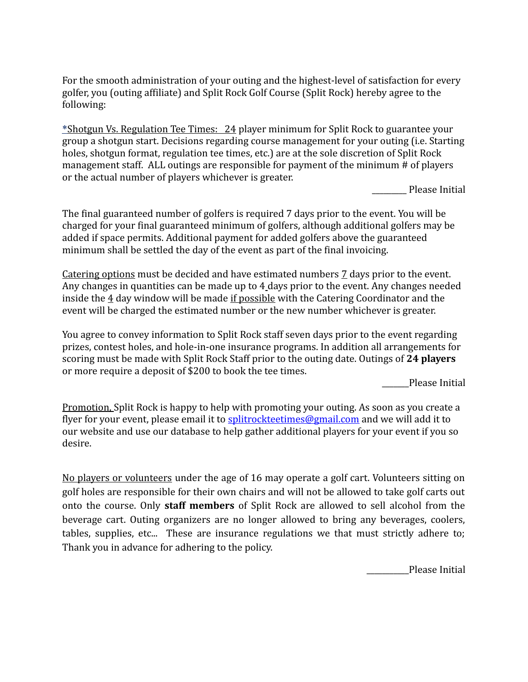For the smooth administration of your outing and the highest-level of satisfaction for every golfer, you (outing affiliate) and Split Rock Golf Course (Split Rock) hereby agree to the following:

 \*Shotgun Vs. Regulation Tee Times: 24 player minimum for Split Rock to guarantee your group a shotgun start. Decisions regarding course management for your outing (i.e. Starting holes, shotgun format, regulation tee times, etc.) are at the sole discretion of Split Rock management staff. ALL outings are responsible for payment of the minimum # of players or the actual number of players whichever is greater.

Please Initial

The final guaranteed number of golfers is required 7 days prior to the event. You will be charged for your final guaranteed minimum of golfers, although additional golfers may be added if space permits. Additional payment for added golfers above the guaranteed minimum shall be settled the day of the event as part of the final invoicing.

Catering options must be decided and have estimated numbers 7 days prior to the event. Any changes in quantities can be made up to 4 days prior to the event. Any changes needed inside the  $\frac{4}{3}$  day window will be made if possible with the Catering Coordinator and the event will be charged the estimated number or the new number whichever is greater.

You agree to convey information to Split Rock staff seven days prior to the event regarding prizes, contest holes, and hole-in-one insurance programs. In addition all arrangements for scoring must be made with Split Rock Staff prior to the outing date. Outings of **24 players**  or more require a deposit of \$200 to book the tee times.

Please Initial

Promotion, Split Rock is happy to help with promoting your outing. As soon as you create a flyer for your event, please email it to [splitrockteetimes@gmail.com](mailto:splitrockteetimes@gmail.com) and we will add it to our website and use our database to help gather additional players for your event if you so desire.

No players or volunteers under the age of 16 may operate a golf cart. Volunteers sitting on golf holes are responsible for their own chairs and will not be allowed to take golf carts out onto the course. Only **staff members** of Split Rock are allowed to sell alcohol from the beverage cart. Outing organizers are no longer allowed to bring any beverages, coolers, tables, supplies, etc... These are insurance regulations we that must strictly adhere to; Thank you in advance for adhering to the policy.

Please Initial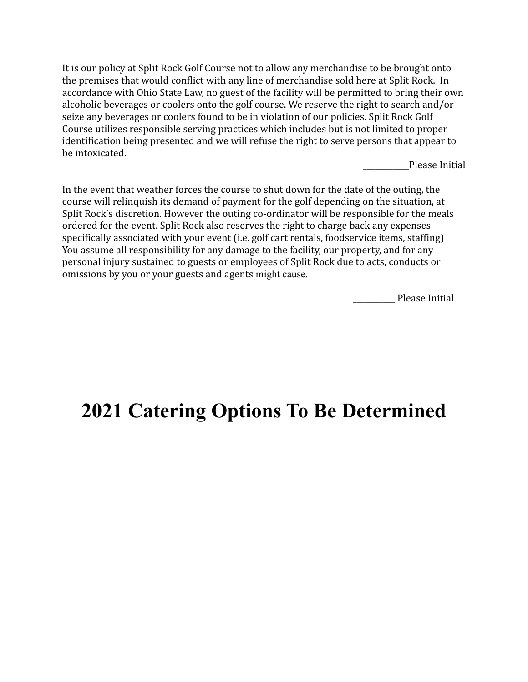It is our policy at Split Rock Golf Course not to allow any merchandise to be brought onto the premises that would conflict with any line of merchandise sold here at Split Rock. In accordance with Ohio State Law, no guest of the facility will be permitted to bring their own alcoholic beverages or coolers onto the golf course. We reserve the right to search and/or seize any beverages or coolers found to be in violation of our policies. Split Rock Golf Course utilizes responsible serving practices which includes but is not limited to proper identification being presented and we will refuse the right to serve persons that appear to be intoxicated.

Please Initial

In the event that weather forces the course to shut down for the date of the outing, the course will relinquish its demand of payment for the golf depending on the situation, at Split Rock's discretion. However the outing co-ordinator will be responsible for the meals ordered for the event. Split Rock also reserves the right to charge back any expenses specifically associated with your event (i.e. golf cart rentals, foodservice items, staffing) You assume all responsibility for any damage to the facility, our property, and for any personal injury sustained to guests or employees of Split Rock due to acts, conducts or omissions by you or your guests and agents might cause.

\_\_\_\_\_\_\_\_\_\_\_ Please Initial

## **2021 Catering Options To Be Determined**